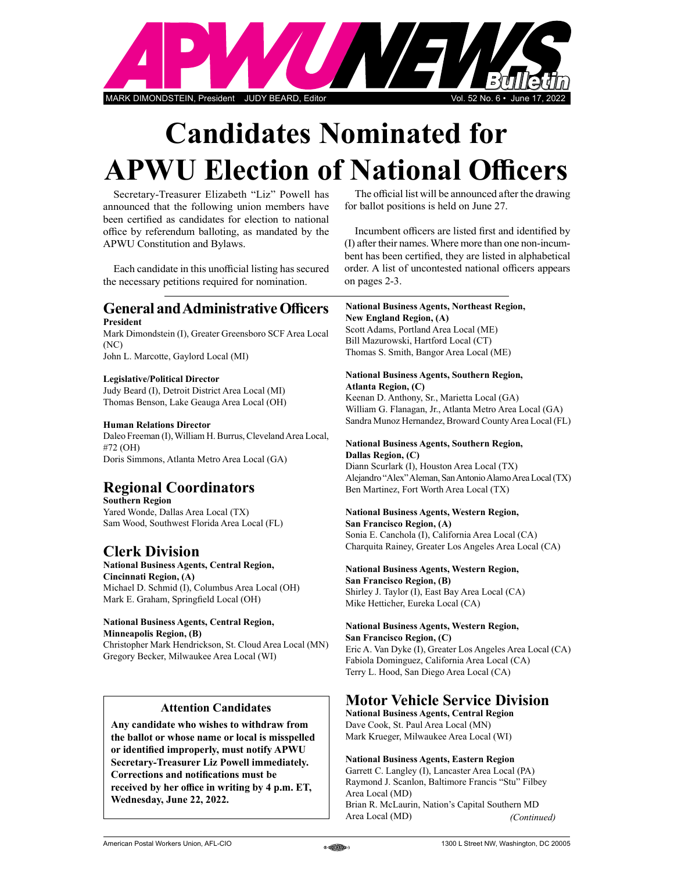

# Candidates Nominated for **APWU Election of National Officers**

Secretary-Treasurer Elizabeth "Liz" Powell has announced that the following union members have been certified as candidates for election to national office by referendum balloting, as mandated by the APWU Constitution and Bylaws.

Each candidate in this unofficial listing has secured the necessary petitions required for nomination.

### **General and Administrative Officers** President

Mark Dimondstein (I), Greater Greensboro SCF Area Local (NC)

John L. Marcotte, Gaylord Local (MI)

### Legislative/Political Director

Judy Beard (I), Detroit District Area Local (MI) Thomas Benson, Lake Geauga Area Local (OH)

### Human Relations Director

Daleo Freeman (I), William H. Burrus, Cleveland Area Local, #72 (OH) Doris Simmons, Atlanta Metro Area Local (GA)

# Regional Coordinators

Southern Region Yared Wonde, Dallas Area Local (TX) Sam Wood, Southwest Florida Area Local (FL)

# Clerk Division

National Business Agents, Central Region, Cincinnati Region, (A) Michael D. Schmid (I), Columbus Area Local (OH) Mark E. Graham, Springfield Local (OH)

#### National Business Agents, Central Region, Minneapolis Region, (B)

Christopher Mark Hendrickson, St. Cloud Area Local (MN) Gregory Becker, Milwaukee Area Local (WI)

## Attention Candidates

Any candidate who wishes to withdraw from the ballot or whose name or local is misspelled or identified improperly, must notify APWU Secretary-Treasurer Liz Powell immediately. Corrections and notifications must be received by her office in writing by 4 p.m. ET, Wednesday, June 22, 2022.

The official list will be announced after the drawing for ballot positions is held on June 27.

Incumbent officers are listed first and identified by (I) after their names. Where more than one non-incumbent has been certified, they are listed in alphabetical order. A list of uncontested national officers appears on pages 2-3.

### National Business Agents, Northeast Region,

New England Region, (A) Scott Adams, Portland Area Local (ME) Bill Mazurowski, Hartford Local (CT) Thomas S. Smith, Bangor Area Local (ME)

### National Business Agents, Southern Region, Atlanta Region, (C)

Keenan D. Anthony, Sr., Marietta Local (GA) William G. Flanagan, Jr., Atlanta Metro Area Local (GA) Sandra Munoz Hernandez, Broward County Area Local (FL)

### National Business Agents, Southern Region, Dallas Region, (C)

Diann Scurlark (I), Houston Area Local (TX) Alejandro "Alex" Aleman, San Antonio Alamo Area Local (TX) Ben Martinez, Fort Worth Area Local (TX)

### National Business Agents, Western Region,

San Francisco Region, (A) Sonia E. Canchola (I), California Area Local (CA) Charquita Rainey, Greater Los Angeles Area Local (CA)

### National Business Agents, Western Region,

San Francisco Region, (B) Shirley J. Taylor (I), East Bay Area Local (CA) Mike Hetticher, Eureka Local (CA)

### National Business Agents, Western Region,

San Francisco Region, (C) Eric A. Van Dyke (I), Greater Los Angeles Area Local (CA) Fabiola Dominguez, California Area Local (CA) Terry L. Hood, San Diego Area Local (CA)

# Motor Vehicle Service Division

National Business Agents, Central Region Dave Cook, St. Paul Area Local (MN) Mark Krueger, Milwaukee Area Local (WI)

### National Business Agents, Eastern Region

Garrett C. Langley (I), Lancaster Area Local (PA) Raymond J. Scanlon, Baltimore Francis "Stu" Filbey Area Local (MD) Brian R. McLaurin, Nation's Capital Southern MD Area Local (MD) (Continued)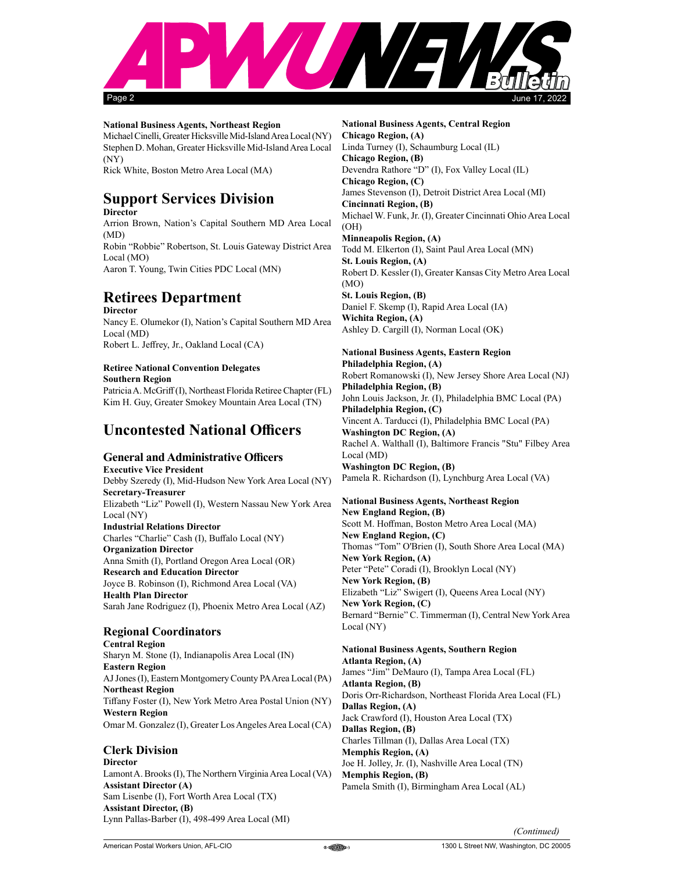

#### National Business Agents, Northeast Region

Michael Cinelli, Greater Hicksville Mid-Island Area Local (NY) Stephen D. Mohan, Greater Hicksville Mid-Island Area Local (NY) Rick White, Boston Metro Area Local (MA)

# Support Services Division

**Director** Arrion Brown, Nation's Capital Southern MD Area Local (MD) Robin "Robbie" Robertson, St. Louis Gateway District Area Local (MO) Aaron T. Young, Twin Cities PDC Local (MN)

# Retirees Department

**Director** Nancy E. Olumekor (I), Nation's Capital Southern MD Area Local (MD) Robert L. Jeffrey, Jr., Oakland Local (CA)

# Retiree National Convention Delegates

Southern Region Patricia A. McGriff (I), Northeast Florida Retiree Chapter (FL) Kim H. Guy, Greater Smokey Mountain Area Local (TN)

# **Uncontested National Officers**

# **General and Administrative Officers**

Executive Vice President Debby Szeredy (I), Mid-Hudson New York Area Local (NY) Secretary-Treasurer Elizabeth "Liz" Powell (I), Western Nassau New York Area Local (NY) Industrial Relations Director Charles "Charlie" Cash (I), Buffalo Local (NY) Organization Director Anna Smith (I), Portland Oregon Area Local (OR) Research and Education Director Joyce B. Robinson (I), Richmond Area Local (VA) Health Plan Director Sarah Jane Rodriguez (I), Phoenix Metro Area Local (AZ)

# Regional Coordinators

Central Region Sharyn M. Stone (I), Indianapolis Area Local (IN) Eastern Region AJ Jones (I), Eastern Montgomery County PA Area Local (PA) Northeast Region Tiffany Foster (I), New York Metro Area Postal Union (NY) Western Region Omar M. Gonzalez (I), Greater Los Angeles Area Local (CA)

### Clerk Division

**Director** Lamont A. Brooks (I), The Northern Virginia Area Local (VA) Assistant Director (A) Sam Lisenbe (I), Fort Worth Area Local (TX) Assistant Director, (B) Lynn Pallas-Barber (I), 498-499 Area Local (MI)

National Business Agents, Central Region Chicago Region, (A) Linda Turney (I), Schaumburg Local (IL) Chicago Region, (B) Devendra Rathore "D" (I), Fox Valley Local (IL) Chicago Region, (C) James Stevenson (I), Detroit District Area Local (MI) Cincinnati Region, (B) Michael W. Funk, Jr. (I), Greater Cincinnati Ohio Area Local (OH) Minneapolis Region, (A) Todd M. Elkerton (I), Saint Paul Area Local (MN) St. Louis Region, (A) Robert D. Kessler (I), Greater Kansas City Metro Area Local (MO) St. Louis Region, (B) Daniel F. Skemp (I), Rapid Area Local (IA) Wichita Region, (A) Ashley D. Cargill (I), Norman Local (OK)

### National Business Agents, Eastern Region

Philadelphia Region, (A) Robert Romanowski (I), New Jersey Shore Area Local (NJ) Philadelphia Region, (B) John Louis Jackson, Jr. (I), Philadelphia BMC Local (PA) Philadelphia Region, (C) Vincent A. Tarducci (I), Philadelphia BMC Local (PA) Washington DC Region, (A) Rachel A. Walthall (I), Baltimore Francis "Stu" Filbey Area Local (MD) Washington DC Region, (B) Pamela R. Richardson (I), Lynchburg Area Local (VA)

National Business Agents, Northeast Region New England Region, (B) Scott M. Hoffman, Boston Metro Area Local (MA) New England Region, (C) Thomas "Tom" O'Brien (I), South Shore Area Local (MA) New York Region, (A) Peter "Pete" Coradi (I), Brooklyn Local (NY) New York Region, (B) Elizabeth "Liz" Swigert (I), Queens Area Local (NY) New York Region, (C) Bernard "Bernie" C. Timmerman (I), Central New York Area Local (NY)

### National Business Agents, Southern Region

Atlanta Region, (A) James "Jim" DeMauro (I), Tampa Area Local (FL) Atlanta Region, (B) Doris Orr-Richardson, Northeast Florida Area Local (FL) Dallas Region, (A) Jack Crawford (I), Houston Area Local (TX) Dallas Region, (B) Charles Tillman (I), Dallas Area Local (TX) Memphis Region, (A) Joe H. Jolley, Jr. (I), Nashville Area Local (TN) Memphis Region, (B) Pamela Smith (I), Birmingham Area Local (AL)

(Continued)